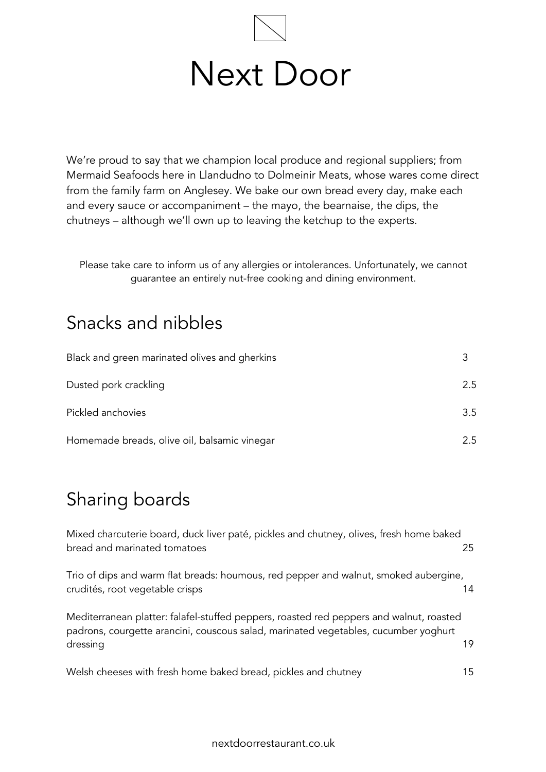

We're proud to say that we champion local produce and regional suppliers; from Mermaid Seafoods here in Llandudno to Dolmeinir Meats, whose wares come direct from the family farm on Anglesey. We bake our own bread every day, make each and every sauce or accompaniment – the mayo, the bearnaise, the dips, the chutneys – although we'll own up to leaving the ketchup to the experts.

Please take care to inform us of any allergies or intolerances. Unfortunately, we cannot guarantee an entirely nut-free cooking and dining environment.

#### Snacks and nibbles

| Black and green marinated olives and gherkins |     |
|-----------------------------------------------|-----|
| Dusted pork crackling                         | 2.5 |
| Pickled anchovies                             | 3.5 |
| Homemade breads, olive oil, balsamic vinegar  | 2.5 |

## Sharing boards

Mixed charcuterie board, duck liver paté, pickles and chutney, olives, fresh home baked bread and marinated tomatoes 25

Trio of dips and warm flat breads: houmous, red pepper and walnut, smoked aubergine, crudités, root vegetable crisps 14

Mediterranean platter: falafel-stuffed peppers, roasted red peppers and walnut, roasted padrons, courgette arancini, couscous salad, marinated vegetables, cucumber yoghurt dressing the contract of the contract of the contract of the contract of the contract of the contract of the contract of the contract of the contract of the contract of the contract of the contract of the contract of the c

Welsh cheeses with fresh home baked bread, pickles and chutney 15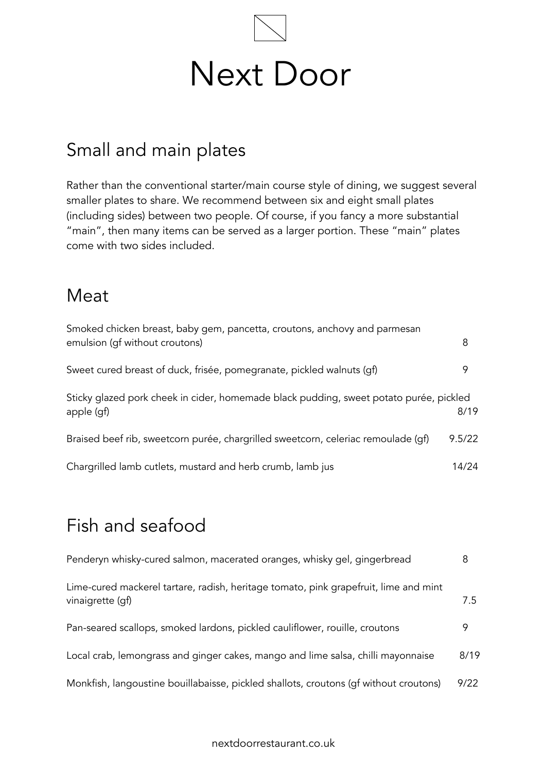

## Small and main plates

Rather than the conventional starter/main course style of dining, we suggest several smaller plates to share. We recommend between six and eight small plates (including sides) between two people. Of course, if you fancy a more substantial "main", then many items can be served as a larger portion. These "main" plates come with two sides included.

#### Meat

| Smoked chicken breast, baby gem, pancetta, croutons, anchovy and parmesan<br>emulsion (gf without croutons) | 8      |
|-------------------------------------------------------------------------------------------------------------|--------|
| Sweet cured breast of duck, frisée, pomegranate, pickled walnuts (qf)                                       | 9      |
| Sticky glazed pork cheek in cider, homemade black pudding, sweet potato purée, pickled<br>apple (gf)        | 8/19   |
| Braised beef rib, sweetcorn purée, chargrilled sweetcorn, celeriac remoulade (gf)                           | 9.5/22 |
| Chargrilled lamb cutlets, mustard and herb crumb, lamb jus                                                  | 14/24  |

# Fish and seafood

| Penderyn whisky-cured salmon, macerated oranges, whisky gel, gingerbread                                 | 8    |
|----------------------------------------------------------------------------------------------------------|------|
| Lime-cured mackerel tartare, radish, heritage tomato, pink grapefruit, lime and mint<br>vinaigrette (qf) | 7.5  |
| Pan-seared scallops, smoked lardons, pickled cauliflower, rouille, croutons                              | 9    |
| Local crab, lemongrass and ginger cakes, mango and lime salsa, chilli mayonnaise                         | 8/19 |
| Monkfish, langoustine bouillabaisse, pickled shallots, croutons (gf without croutons)                    | 9/22 |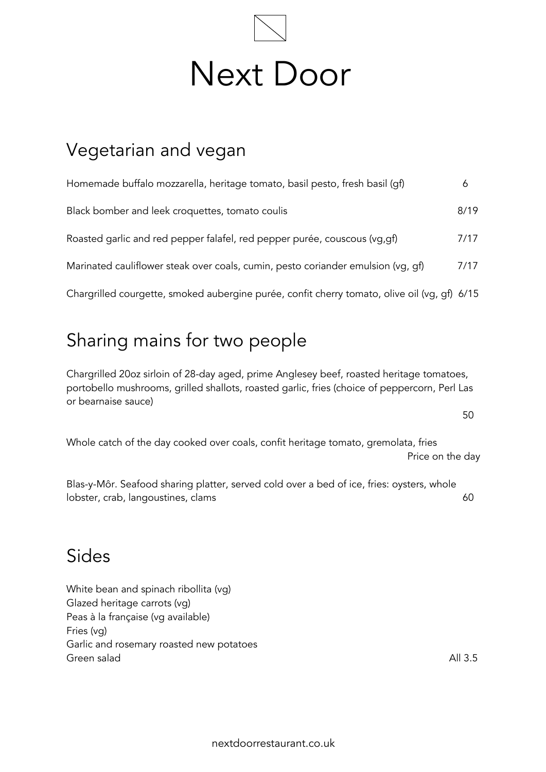

#### Vegetarian and vegan

| Homemade buffalo mozzarella, heritage tomato, basil pesto, fresh basil (qf)                  | 6    |
|----------------------------------------------------------------------------------------------|------|
| Black bomber and leek croquettes, tomato coulis                                              | 8/19 |
| Roasted garlic and red pepper falafel, red pepper purée, couscous (vg, gf)                   | 7/17 |
| Marinated cauliflower steak over coals, cumin, pesto coriander emulsion (vg, gf)             | 7/17 |
| Chargrilled courgette, smoked aubergine purée, confit cherry tomato, olive oil (vg, gf) 6/15 |      |

## Sharing mains for two people

Chargrilled 20oz sirloin of 28-day aged, prime Anglesey beef, roasted heritage tomatoes, portobello mushrooms, grilled shallots, roasted garlic, fries (choice of peppercorn, Perl Las or bearnaise sauce)

50

Whole catch of the day cooked over coals, confit heritage tomato, gremolata, fries Price on the day

Blas-y-Môr. Seafood sharing platter, served cold over a bed of ice, fries: oysters, whole lobster, crab, langoustines, clams 60

#### Sides

White bean and spinach ribollita (vg) Glazed heritage carrots (vg) Peas à la française (vg available) Fries (vg) Garlic and rosemary roasted new potatoes Green salad All 3.5